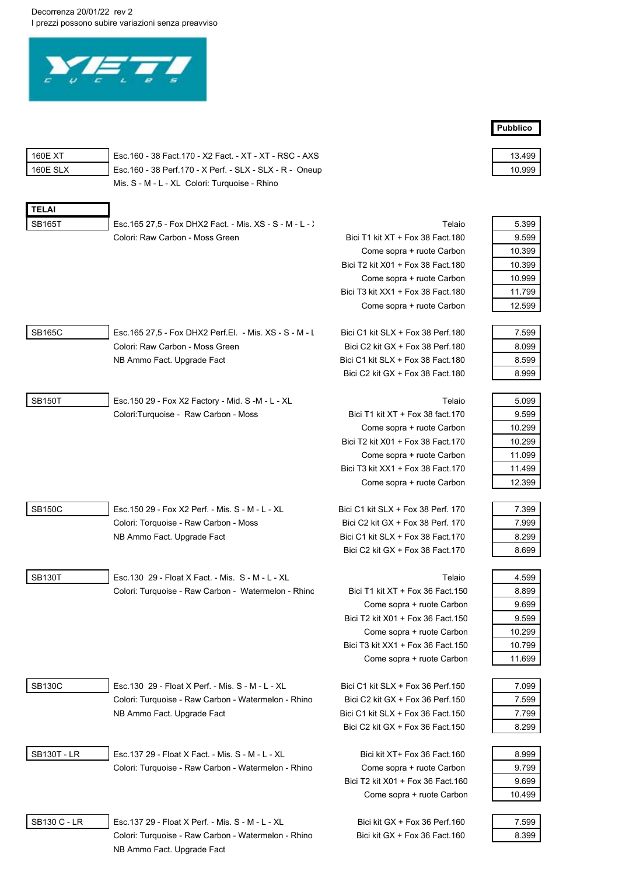Decorrenza 20/01/22 rev 2 I prezzi possono subire variazioni senza preavviso



|               | Mis. S - M - L - XL Colori: Turquoise - Rhino            |                                    |        |
|---------------|----------------------------------------------------------|------------------------------------|--------|
| <b>TELAI</b>  |                                                          |                                    |        |
| <b>SB165T</b> | Esc. 165 27,5 - Fox DHX2 Fact. - Mis. XS - S - M - L - ) | Telaio                             | 5.399  |
|               | Colori: Raw Carbon - Moss Green                          | Bici T1 kit XT + Fox 38 Fact 180   | 9.599  |
|               |                                                          | Come sopra + ruote Carbon          | 10.399 |
|               |                                                          | Bici T2 kit X01 + Fox 38 Fact 180  | 10.399 |
|               |                                                          | Come sopra + ruote Carbon          | 10.999 |
|               |                                                          | Bici T3 kit XX1 + Fox 38 Fact 180  | 11.799 |
|               |                                                          | Come sopra + ruote Carbon          | 12.599 |
| SB165C        | Esc. 165 27,5 - Fox DHX2 Perf. El. - Mis. XS - S - M - L | Bici C1 kit SLX + Fox 38 Perf.180  | 7.599  |
|               | Colori: Raw Carbon - Moss Green                          | Bici C2 kit GX + Fox 38 Perf. 180  | 8.099  |
|               | NB Ammo Fact. Upgrade Fact                               | Bici C1 kit SLX + Fox 38 Fact 180  | 8.599  |
|               |                                                          | Bici C2 kit GX + Fox 38 Fact 180   | 8.999  |
| SB150T        | Esc. 150 29 - Fox X2 Factory - Mid. S -M - L - XL        | Telaio                             | 5.099  |
|               | Colori:Turquoise - Raw Carbon - Moss                     | Bici T1 kit XT + Fox 38 fact 170   | 9.599  |
|               |                                                          | Come sopra + ruote Carbon          | 10.299 |
|               |                                                          | Bici T2 kit X01 + Fox 38 Fact.170  | 10.299 |
|               |                                                          | Come sopra + ruote Carbon          | 11.099 |
|               |                                                          | Bici T3 kit XX1 + Fox 38 Fact 170  | 11.499 |
|               |                                                          | Come sopra + ruote Carbon          | 12.399 |
| <b>SB150C</b> | Esc. 150 29 - Fox X2 Perf. - Mis. S - M - L - XL         | Bici C1 kit SLX + Fox 38 Perf. 170 | 7.399  |
|               | Colori: Torquoise - Raw Carbon - Moss                    | Bici C2 kit GX + Fox 38 Perf. 170  | 7.999  |
|               | NB Ammo Fact. Upgrade Fact                               | Bici C1 kit SLX + Fox 38 Fact 170  | 8.299  |
|               |                                                          | Bici C2 kit GX + Fox 38 Fact 170   | 8.699  |
| <b>SB130T</b> | Esc. 130 29 - Float X Fact. - Mis. S - M - L - XL        | Telaio                             | 4.599  |
|               | Colori: Turquoise - Raw Carbon - Watermelon - Rhinc      | Bici T1 kit XT + Fox 36 Fact 150   | 8.899  |
|               |                                                          | Come sopra + ruote Carbon          | 9.699  |
|               |                                                          | Bici T2 kit X01 + Fox 36 Fact 150  | 9.599  |
|               |                                                          | Come sopra + ruote Carbon          | 10.299 |
|               |                                                          | Bici T3 kit XX1 + Fox 36 Fact 150  | 10.799 |
|               |                                                          | Come sopra + ruote Carbon          | 11.699 |
| <b>SB130C</b> | Esc. 130 29 - Float X Perf. - Mis. S - M - L - XL        | Bici C1 kit SLX + Fox 36 Perf.150  | 7.099  |
|               | Colori: Turquoise - Raw Carbon - Watermelon - Rhino      | Bici C2 kit GX + Fox 36 Perf.150   | 7.599  |
|               | NB Ammo Fact. Upgrade Fact                               | Bici C1 kit SLX + Fox 36 Fact 150  | 7.799  |
|               |                                                          | Bici C2 kit GX + Fox 36 Fact 150   | 8.299  |
| SB130T - LR   | Esc. 137 29 - Float X Fact. - Mis. S - M - L - XL        | Bici kit XT+ Fox 36 Fact.160       | 8.999  |
|               | Colori: Turquoise - Raw Carbon - Watermelon - Rhino      | Come sopra + ruote Carbon          | 9.799  |
|               |                                                          | Bici T2 kit X01 + Fox 36 Fact.160  | 9.699  |

160E XT Esc.160 - 38 Fact.170 - X2 Fact. - XT - XT - RSC - AXS 13.499 160E SLX Esc.160 - 38 Perf.170 - X Perf. - SLX - SLX - R - Oneup 10.999

| ١<br>,<br>ı |  |
|-------------|--|
|             |  |

Esc.137 29 - Float X Perf. - Mis. S - M - L - XL Bici kit GX + Fox 36 Perf.160 Colori: Turquoise - Raw Carbon - Watermelon - Rhino Bici kit GX + Fox 36 Fact.160 NB Ammo Fact. Upgrade Fact

Come sopra + ruote Carbon

| 5.399  |
|--------|
| 9.599  |
| 10.399 |
| 10.399 |
| 10.999 |

**Pubblico** 

| 7.599 |
|-------|
| 8.099 |
| 8.599 |
|       |

| 5 099  |
|--------|
| 9599   |
| 10 299 |
| 10 299 |
| 11.099 |
| 11 499 |
| 12 399 |

| 7.399 |
|-------|
| 7.999 |
| 8 299 |
| 8.699 |
|       |

| 4.599  |
|--------|
| 8.899  |
| 9 699  |
| 9599   |
| 10 299 |
| 10799  |
| 11 699 |
|        |

| 7.099 |
|-------|
| 7 599 |
| 7.799 |
| 8 299 |
|       |

| 8.999  |
|--------|
| 9 799  |
| 9 699  |
| 10 499 |

| ٧ |
|---|